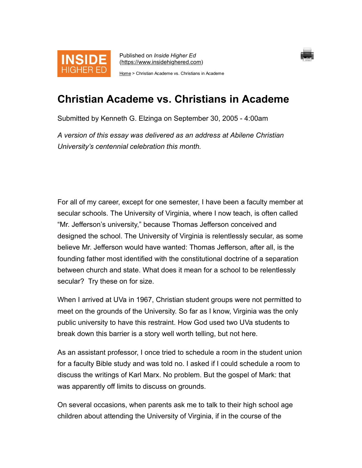

Published on Inside Higher Ed (https://www.insidehighered.com)



Home > Christian Academe vs. Christians in Academe

## Christian Academe vs. Christians in Academe

Submitted by Kenneth G. Elzinga on September 30, 2005 - 4:00am

A version of this essay was delivered as an address at Abilene Christian University's centennial celebration this month.

For all of my career, except for one semester, I have been a faculty member at secular schools. The University of Virginia, where I now teach, is often called "Mr. Jefferson's university," because Thomas Jefferson conceived and designed the school. The University of Virginia is relentlessly secular, as some believe Mr. Jefferson would have wanted: Thomas Jefferson, after all, is the founding father most identified with the constitutional doctrine of a separation between church and state. What does it mean for a school to be relentlessly secular? Try these on for size.

When I arrived at UVa in 1967, Christian student groups were not permitted to meet on the grounds of the University. So far as I know, Virginia was the only public university to have this restraint. How God used two UVa students to break down this barrier is a story well worth telling, but not here.

As an assistant professor, I once tried to schedule a room in the student union for a faculty Bible study and was told no. I asked if I could schedule a room to discuss the writings of Karl Marx. No problem. But the gospel of Mark: that was apparently off limits to discuss on grounds.

On several occasions, when parents ask me to talk to their high school age children about attending the University of Virginia, if in the course of the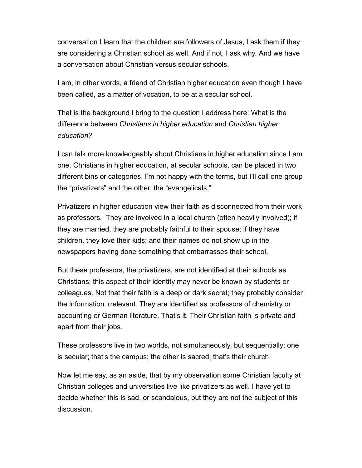conversation I learn that the children are followers of Jesus, I ask them if they are considering a Christian school as well. And if not, I ask why. And we have a conversation about Christian versus secular schools.

I am, in other words, a friend of Christian higher education even though I have been called, as a matter of vocation, to be at a secular school.

That is the background I bring to the question I address here: What is the difference between Christians in higher education and Christian higher education?

I can talk more knowledgeably about Christians in higher education since I am one. Christians in higher education, at secular schools, can be placed in two different bins or categories. I'm not happy with the terms, but I'll call one group the "privatizers" and the other, the "evangelicals."

Privatizers in higher education view their faith as disconnected from their work as professors. They are involved in a local church (often heavily involved); if they are married, they are probably faithful to their spouse; if they have children, they love their kids; and their names do not show up in the newspapers having done something that embarrasses their school.

But these professors, the privatizers, are not identified at their schools as Christians; this aspect of their identity may never be known by students or colleagues. Not that their faith is a deep or dark secret; they probably consider the information irrelevant. They are identified as professors of chemistry or accounting or German literature. That's it. Their Christian faith is private and apart from their jobs.

These professors live in two worlds, not simultaneously, but sequentially: one is secular; that's the campus; the other is sacred; that's their church.

Now let me say, as an aside, that by my observation some Christian faculty at Christian colleges and universities live like privatizers as well. I have yet to decide whether this is sad, or scandalous, but they are not the subject of this discussion.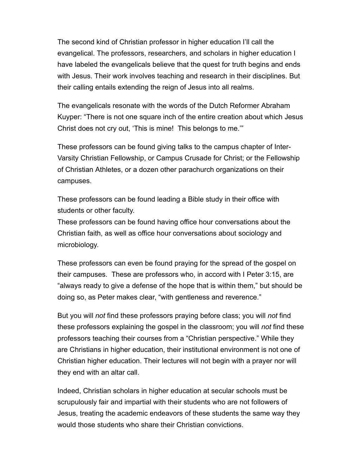The second kind of Christian professor in higher education I'll call the evangelical. The professors, researchers, and scholars in higher education I have labeled the evangelicals believe that the quest for truth begins and ends with Jesus. Their work involves teaching and research in their disciplines. But their calling entails extending the reign of Jesus into all realms.

The evangelicals resonate with the words of the Dutch Reformer Abraham Kuyper: "There is not one square inch of the entire creation about which Jesus Christ does not cry out, 'This is mine! This belongs to me.'"

These professors can be found giving talks to the campus chapter of Inter-Varsity Christian Fellowship, or Campus Crusade for Christ; or the Fellowship of Christian Athletes, or a dozen other parachurch organizations on their campuses.

These professors can be found leading a Bible study in their office with students or other faculty.

These professors can be found having office hour conversations about the Christian faith, as well as office hour conversations about sociology and microbiology.

These professors can even be found praying for the spread of the gospel on their campuses. These are professors who, in accord with I Peter 3:15, are "always ready to give a defense of the hope that is within them," but should be doing so, as Peter makes clear, "with gentleness and reverence."

But you will *not* find these professors praying before class; you will *not* find these professors explaining the gospel in the classroom; you will not find these professors teaching their courses from a "Christian perspective." While they are Christians in higher education, their institutional environment is not one of Christian higher education. Their lectures will not begin with a prayer nor will they end with an altar call.

Indeed, Christian scholars in higher education at secular schools must be scrupulously fair and impartial with their students who are not followers of Jesus, treating the academic endeavors of these students the same way they would those students who share their Christian convictions.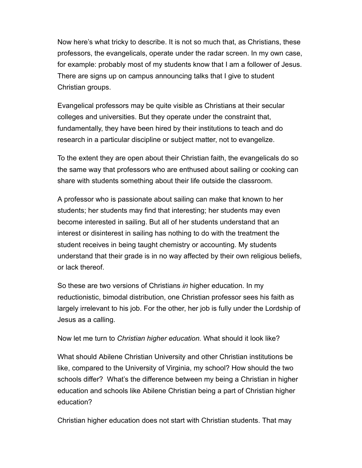Now here's what tricky to describe. It is not so much that, as Christians, these professors, the evangelicals, operate under the radar screen. In my own case, for example: probably most of my students know that I am a follower of Jesus. There are signs up on campus announcing talks that I give to student Christian groups.

Evangelical professors may be quite visible as Christians at their secular colleges and universities. But they operate under the constraint that, fundamentally, they have been hired by their institutions to teach and do research in a particular discipline or subject matter, not to evangelize.

To the extent they are open about their Christian faith, the evangelicals do so the same way that professors who are enthused about sailing or cooking can share with students something about their life outside the classroom.

A professor who is passionate about sailing can make that known to her students; her students may find that interesting; her students may even become interested in sailing. But all of her students understand that an interest or disinterest in sailing has nothing to do with the treatment the student receives in being taught chemistry or accounting. My students understand that their grade is in no way affected by their own religious beliefs, or lack thereof.

So these are two versions of Christians in higher education. In my reductionistic, bimodal distribution, one Christian professor sees his faith as largely irrelevant to his job. For the other, her job is fully under the Lordship of Jesus as a calling.

Now let me turn to Christian higher education. What should it look like?

What should Abilene Christian University and other Christian institutions be like, compared to the University of Virginia, my school? How should the two schools differ? What's the difference between my being a Christian in higher education and schools like Abilene Christian being a part of Christian higher education?

Christian higher education does not start with Christian students. That may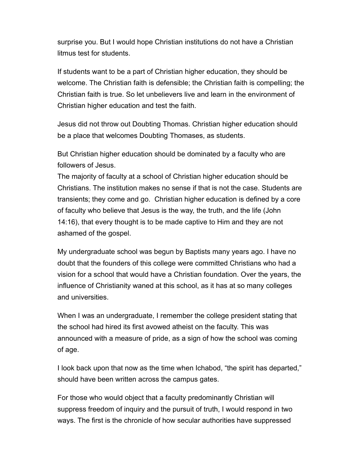surprise you. But I would hope Christian institutions do not have a Christian litmus test for students.

If students want to be a part of Christian higher education, they should be welcome. The Christian faith is defensible; the Christian faith is compelling; the Christian faith is true. So let unbelievers live and learn in the environment of Christian higher education and test the faith.

Jesus did not throw out Doubting Thomas. Christian higher education should be a place that welcomes Doubting Thomases, as students.

But Christian higher education should be dominated by a faculty who are followers of Jesus.

The majority of faculty at a school of Christian higher education should be Christians. The institution makes no sense if that is not the case. Students are transients; they come and go. Christian higher education is defined by a core of faculty who believe that Jesus is the way, the truth, and the life (John 14:16), that every thought is to be made captive to Him and they are not ashamed of the gospel.

My undergraduate school was begun by Baptists many years ago. I have no doubt that the founders of this college were committed Christians who had a vision for a school that would have a Christian foundation. Over the years, the influence of Christianity waned at this school, as it has at so many colleges and universities.

When I was an undergraduate, I remember the college president stating that the school had hired its first avowed atheist on the faculty. This was announced with a measure of pride, as a sign of how the school was coming of age.

I look back upon that now as the time when Ichabod, "the spirit has departed," should have been written across the campus gates.

For those who would object that a faculty predominantly Christian will suppress freedom of inquiry and the pursuit of truth, I would respond in two ways. The first is the chronicle of how secular authorities have suppressed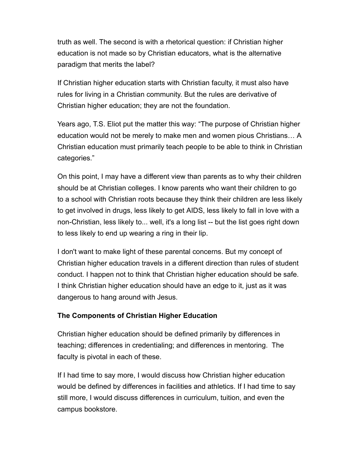truth as well. The second is with a rhetorical question: if Christian higher education is not made so by Christian educators, what is the alternative paradigm that merits the label?

If Christian higher education starts with Christian faculty, it must also have rules for living in a Christian community. But the rules are derivative of Christian higher education; they are not the foundation.

Years ago, T.S. Eliot put the matter this way: "The purpose of Christian higher education would not be merely to make men and women pious Christians… A Christian education must primarily teach people to be able to think in Christian categories."

On this point, I may have a different view than parents as to why their children should be at Christian colleges. I know parents who want their children to go to a school with Christian roots because they think their children are less likely to get involved in drugs, less likely to get AIDS, less likely to fall in love with a non-Christian, less likely to... well, it's a long list -- but the list goes right down to less likely to end up wearing a ring in their lip.

I don't want to make light of these parental concerns. But my concept of Christian higher education travels in a different direction than rules of student conduct. I happen not to think that Christian higher education should be safe. I think Christian higher education should have an edge to it, just as it was dangerous to hang around with Jesus.

## The Components of Christian Higher Education

Christian higher education should be defined primarily by differences in teaching; differences in credentialing; and differences in mentoring. The faculty is pivotal in each of these.

If I had time to say more, I would discuss how Christian higher education would be defined by differences in facilities and athletics. If I had time to say still more, I would discuss differences in curriculum, tuition, and even the campus bookstore.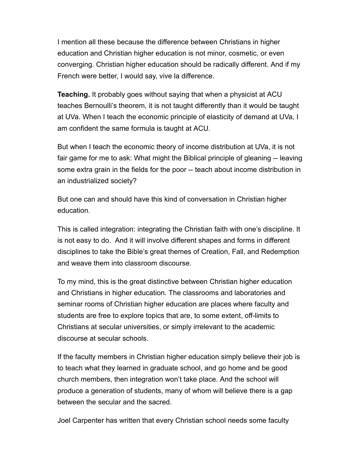I mention all these because the difference between Christians in higher education and Christian higher education is not minor, cosmetic, or even converging. Christian higher education should be radically different. And if my French were better, I would say, vive la difference.

Teaching. It probably goes without saying that when a physicist at ACU teaches Bernoulli's theorem, it is not taught differently than it would be taught at UVa. When I teach the economic principle of elasticity of demand at UVa, I am confident the same formula is taught at ACU.

But when I teach the economic theory of income distribution at UVa, it is not fair game for me to ask: What might the Biblical principle of gleaning -- leaving some extra grain in the fields for the poor -- teach about income distribution in an industrialized society?

But one can and should have this kind of conversation in Christian higher education.

This is called integration: integrating the Christian faith with one's discipline. It is not easy to do. And it will involve different shapes and forms in different disciplines to take the Bible's great themes of Creation, Fall, and Redemption and weave them into classroom discourse.

To my mind, this is the great distinctive between Christian higher education and Christians in higher education. The classrooms and laboratories and seminar rooms of Christian higher education are places where faculty and students are free to explore topics that are, to some extent, off-limits to Christians at secular universities, or simply irrelevant to the academic discourse at secular schools.

If the faculty members in Christian higher education simply believe their job is to teach what they learned in graduate school, and go home and be good church members, then integration won't take place. And the school will produce a generation of students, many of whom will believe there is a gap between the secular and the sacred.

Joel Carpenter has written that every Christian school needs some faculty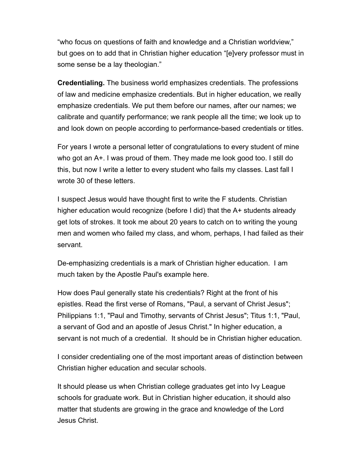"who focus on questions of faith and knowledge and a Christian worldview," but goes on to add that in Christian higher education "[e]very professor must in some sense be a lay theologian."

Credentialing. The business world emphasizes credentials. The professions of law and medicine emphasize credentials. But in higher education, we really emphasize credentials. We put them before our names, after our names; we calibrate and quantify performance; we rank people all the time; we look up to and look down on people according to performance-based credentials or titles.

For years I wrote a personal letter of congratulations to every student of mine who got an A+. I was proud of them. They made me look good too. I still do this, but now I write a letter to every student who fails my classes. Last fall I wrote 30 of these letters.

I suspect Jesus would have thought first to write the F students. Christian higher education would recognize (before I did) that the A+ students already get lots of strokes. It took me about 20 years to catch on to writing the young men and women who failed my class, and whom, perhaps, I had failed as their servant.

De-emphasizing credentials is a mark of Christian higher education. I am much taken by the Apostle Paul's example here.

How does Paul generally state his credentials? Right at the front of his epistles. Read the first verse of Romans, "Paul, a servant of Christ Jesus"; Philippians 1:1, "Paul and Timothy, servants of Christ Jesus"; Titus 1:1, "Paul, a servant of God and an apostle of Jesus Christ." In higher education, a servant is not much of a credential. It should be in Christian higher education.

I consider credentialing one of the most important areas of distinction between Christian higher education and secular schools.

It should please us when Christian college graduates get into Ivy League schools for graduate work. But in Christian higher education, it should also matter that students are growing in the grace and knowledge of the Lord Jesus Christ.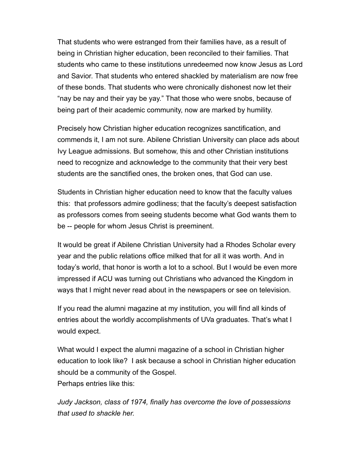That students who were estranged from their families have, as a result of being in Christian higher education, been reconciled to their families. That students who came to these institutions unredeemed now know Jesus as Lord and Savior. That students who entered shackled by materialism are now free of these bonds. That students who were chronically dishonest now let their "nay be nay and their yay be yay." That those who were snobs, because of being part of their academic community, now are marked by humility.

Precisely how Christian higher education recognizes sanctification, and commends it, I am not sure. Abilene Christian University can place ads about Ivy League admissions. But somehow, this and other Christian institutions need to recognize and acknowledge to the community that their very best students are the sanctified ones, the broken ones, that God can use.

Students in Christian higher education need to know that the faculty values this: that professors admire godliness; that the faculty's deepest satisfaction as professors comes from seeing students become what God wants them to be -- people for whom Jesus Christ is preeminent.

It would be great if Abilene Christian University had a Rhodes Scholar every year and the public relations office milked that for all it was worth. And in today's world, that honor is worth a lot to a school. But I would be even more impressed if ACU was turning out Christians who advanced the Kingdom in ways that I might never read about in the newspapers or see on television.

If you read the alumni magazine at my institution, you will find all kinds of entries about the worldly accomplishments of UVa graduates. That's what I would expect.

What would I expect the alumni magazine of a school in Christian higher education to look like? I ask because a school in Christian higher education should be a community of the Gospel. Perhaps entries like this:

Judy Jackson, class of 1974, finally has overcome the love of possessions that used to shackle her.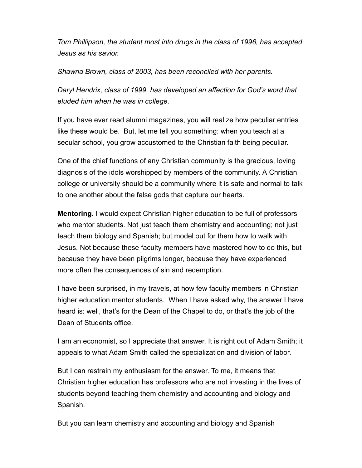Tom Phillipson, the student most into drugs in the class of 1996, has accepted Jesus as his savior.

Shawna Brown, class of 2003, has been reconciled with her parents.

Daryl Hendrix, class of 1999, has developed an affection for God's word that eluded him when he was in college.

If you have ever read alumni magazines, you will realize how peculiar entries like these would be. But, let me tell you something: when you teach at a secular school, you grow accustomed to the Christian faith being peculiar.

One of the chief functions of any Christian community is the gracious, loving diagnosis of the idols worshipped by members of the community. A Christian college or university should be a community where it is safe and normal to talk to one another about the false gods that capture our hearts.

Mentoring. I would expect Christian higher education to be full of professors who mentor students. Not just teach them chemistry and accounting; not just teach them biology and Spanish; but model out for them how to walk with Jesus. Not because these faculty members have mastered how to do this, but because they have been pilgrims longer, because they have experienced more often the consequences of sin and redemption.

I have been surprised, in my travels, at how few faculty members in Christian higher education mentor students. When I have asked why, the answer I have heard is: well, that's for the Dean of the Chapel to do, or that's the job of the Dean of Students office.

I am an economist, so I appreciate that answer. It is right out of Adam Smith; it appeals to what Adam Smith called the specialization and division of labor.

But I can restrain my enthusiasm for the answer. To me, it means that Christian higher education has professors who are not investing in the lives of students beyond teaching them chemistry and accounting and biology and Spanish.

But you can learn chemistry and accounting and biology and Spanish